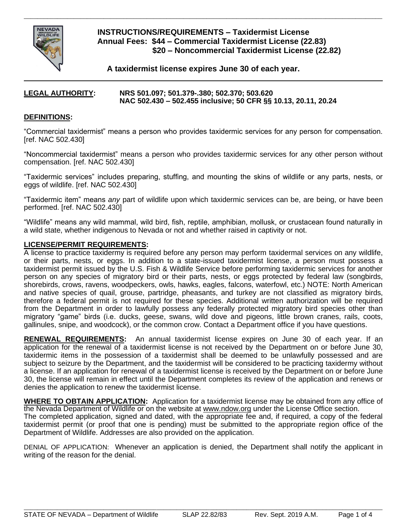

## **INSTRUCTIONS/REQUIREMENTS – Taxidermist License Annual Fees: \$44 – Commercial Taxidermist License (22.83) \$20 – Noncommercial Taxidermist License (22.82)**

**A taxidermist license expires June 30 of each year.** 

\_\_\_\_\_\_\_\_\_\_\_\_\_\_\_\_\_\_\_\_\_\_\_\_\_\_\_\_\_\_\_\_\_\_\_\_\_\_\_\_\_\_\_\_\_\_\_\_\_\_\_\_\_\_\_\_\_\_\_\_\_\_\_\_\_\_\_\_\_\_\_\_\_\_\_\_\_\_\_\_\_\_\_\_\_\_\_\_\_\_\_\_\_\_\_\_\_\_\_\_\_\_\_\_\_\_\_\_

#### **LEGAL AUTHORITY: NRS 501.097; 501.379-.380; 502.370; 503.620 NAC 502.430 – 502.455 inclusive; 50 CFR §§ 10.13, 20.11, 20.24**

### **DEFINITIONS:**

"Commercial taxidermist" means a person who provides taxidermic services for any person for compensation. [ref. NAC 502.430]

"Noncommercial taxidermist" means a person who provides taxidermic services for any other person without compensation. [ref. NAC 502.430]

"Taxidermic services" includes preparing, stuffing, and mounting the skins of wildlife or any parts, nests, or eggs of wildlife. [ref. NAC 502.430]

"Taxidermic item" means *any* part of wildlife upon which taxidermic services can be, are being, or have been performed. [ref. NAC 502.430]

"Wildlife" means any wild mammal, wild bird, fish, reptile, amphibian, mollusk, or crustacean found naturally in a wild state, whether indigenous to Nevada or not and whether raised in captivity or not.

#### **LICENSE/PERMIT REQUIREMENTS:**

A license to practice taxidermy is required before any person may perform taxidermal services on any wildlife, or their parts, nests, or eggs. In addition to a state-issued taxidermist license, a person must possess a taxidermist permit issued by the U.S. Fish & Wildlife Service before performing taxidermic services for another person on any species of migratory bird or their parts, nests, or eggs protected by federal law (songbirds, shorebirds, crows, ravens, woodpeckers, owls, hawks, eagles, falcons, waterfowl, etc.) NOTE: North American and native species of quail, grouse, partridge, pheasants, and turkey are not classified as migratory birds, therefore a federal permit is not required for these species. Additional written authorization will be required from the Department in order to lawfully possess any federally protected migratory bird species other than migratory "game" birds (i.e. ducks, geese, swans, wild dove and pigeons, little brown cranes, rails, coots, gallinules, snipe, and woodcock), or the common crow. Contact a Department office if you have questions.

**RENEWAL REQUIREMENTS:** An annual taxidermist license expires on June 30 of each year. If an application for the renewal of a taxidermist license is not received by the Department on or before June 30, taxidermic items in the possession of a taxidermist shall be deemed to be unlawfully possessed and are subject to seizure by the Department, and the taxidermist will be considered to be practicing taxidermy without a license. If an application for renewal of a taxidermist license is received by the Department on or before June 30, the license will remain in effect until the Department completes its review of the application and renews or denies the application to renew the taxidermist license.

**WHERE TO OBTAIN APPLICATION:** Application for a taxidermist license may be obtained from any office of the Nevada Department of Wildlife or on the website at www.ndow.org under the License Office section.

The completed application, signed and dated, with the appropriate fee and, if required, a copy of the federal taxidermist permit (or proof that one is pending) must be submitted to the appropriate region office of the Department of Wildlife. Addresses are also provided on the application.

DENIAL OF APPLICATION: Whenever an application is denied, the Department shall notify the applicant in writing of the reason for the denial.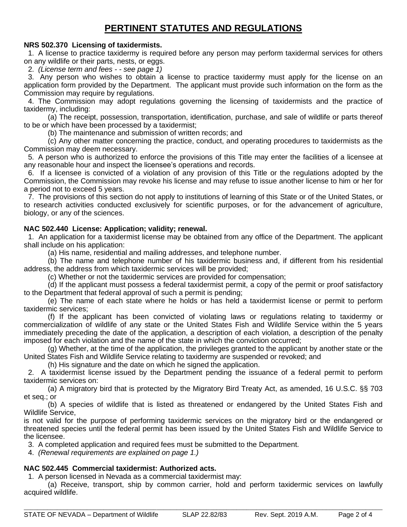# **PERTINENT STATUTES AND REGULATIONS**

## **NRS 502.370 Licensing of taxidermists.**

 1. A license to practice taxidermy is required before any person may perform taxidermal services for others on any wildlife or their parts, nests, or eggs.

2. *(License term and fees - - see page 1)*

 3. Any person who wishes to obtain a license to practice taxidermy must apply for the license on an application form provided by the Department. The applicant must provide such information on the form as the Commission may require by regulations.

 4. The Commission may adopt regulations governing the licensing of taxidermists and the practice of taxidermy, including:

 (a) The receipt, possession, transportation, identification, purchase, and sale of wildlife or parts thereof to be or which have been processed by a taxidermist;

(b) The maintenance and submission of written records; and

 (c) Any other matter concerning the practice, conduct, and operating procedures to taxidermists as the Commission may deem necessary.

 5. A person who is authorized to enforce the provisions of this Title may enter the facilities of a licensee at any reasonable hour and inspect the licensee's operations and records.

 6. If a licensee is convicted of a violation of any provision of this Title or the regulations adopted by the Commission, the Commission may revoke his license and may refuse to issue another license to him or her for a period not to exceed 5 years.

 7. The provisions of this section do not apply to institutions of learning of this State or of the United States, or to research activities conducted exclusively for scientific purposes, or for the advancement of agriculture, biology, or any of the sciences.

## **NAC 502.440 License: Application; validity; renewal.**

 1. An application for a taxidermist license may be obtained from any office of the Department. The applicant shall include on his application:

(a) His name, residential and mailing addresses, and telephone number.

 (b) The name and telephone number of his taxidermic business and, if different from his residential address, the address from which taxidermic services will be provided;

(c) Whether or not the taxidermic services are provided for compensation;

 (d) If the applicant must possess a federal taxidermist permit, a copy of the permit or proof satisfactory to the Department that federal approval of such a permit is pending;

 (e) The name of each state where he holds or has held a taxidermist license or permit to perform taxidermic services;

 (f) If the applicant has been convicted of violating laws or regulations relating to taxidermy or commercialization of wildlife of any state or the United States Fish and Wildlife Service within the 5 years immediately preceding the date of the application, a description of each violation, a description of the penalty imposed for each violation and the name of the state in which the conviction occurred;

 (g) Whether, at the time of the application, the privileges granted to the applicant by another state or the United States Fish and Wildlife Service relating to taxidermy are suspended or revoked; and

(h) His signature and the date on which he signed the application.

 2. A taxidermist license issued by the Department pending the issuance of a federal permit to perform taxidermic services on:

 (a) A migratory bird that is protected by the Migratory Bird Treaty Act, as amended, 16 U.S.C. §§ 703 et seq.; or

 (b) A species of wildlife that is listed as threatened or endangered by the United States Fish and Wildlife Service,

is not valid for the purpose of performing taxidermic services on the migratory bird or the endangered or threatened species until the federal permit has been issued by the United States Fish and Wildlife Service to the licensee.

3. A completed application and required fees must be submitted to the Department.

4. *(Renewal requirements are explained on page 1.)*

## **NAC 502.445 Commercial taxidermist: Authorized acts.**

1. A person licensed in Nevada as a commercial taxidermist may:

 (a) Receive, transport, ship by common carrier, hold and perform taxidermic services on lawfully acquired wildlife.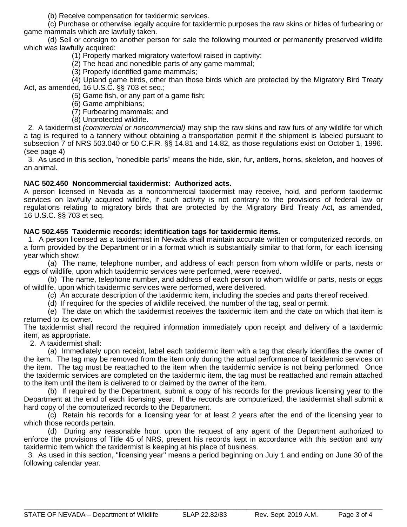(b) Receive compensation for taxidermic services.

 (c) Purchase or otherwise legally acquire for taxidermic purposes the raw skins or hides of furbearing or game mammals which are lawfully taken.

 (d) Sell or consign to another person for sale the following mounted or permanently preserved wildlife which was lawfully acquired:

(1) Properly marked migratory waterfowl raised in captivity;

(2) The head and nonedible parts of any game mammal;

(3) Properly identified game mammals;

 (4) Upland game birds, other than those birds which are protected by the Migratory Bird Treaty Act, as amended, 16 U.S.C. §§ 703 et seq.;

(5) Game fish, or any part of a game fish;

(6) Game amphibians;

(7) Furbearing mammals; and

(8) Unprotected wildlife.

 2. A taxidermist *(commercial or noncommercial)* may ship the raw skins and raw furs of any wildlife for which a tag is required to a tannery without obtaining a transportation permit if the shipment is labeled pursuant to subsection 7 of NRS 503.040 or 50 C.F.R. §§ 14.81 and 14.82, as those regulations exist on October 1, 1996. (see page 4)

 3. As used in this section, "nonedible parts" means the hide, skin, fur, antlers, horns, skeleton, and hooves of an animal.

## **NAC 502.450 Noncommercial taxidermist: Authorized acts.**

A person licensed in Nevada as a noncommercial taxidermist may receive, hold, and perform taxidermic services on lawfully acquired wildlife, if such activity is not contrary to the provisions of federal law or regulations relating to migratory birds that are protected by the Migratory Bird Treaty Act, as amended, 16 U.S.C. §§ 703 et seq.

## **NAC 502.455 Taxidermic records; identification tags for taxidermic items.**

 1. A person licensed as a taxidermist in Nevada shall maintain accurate written or computerized records, on a form provided by the Department or in a format which is substantially similar to that form, for each licensing year which show:

 (a) The name, telephone number, and address of each person from whom wildlife or parts, nests or eggs of wildlife, upon which taxidermic services were performed, were received.

 (b) The name, telephone number, and address of each person to whom wildlife or parts, nests or eggs of wildlife, upon which taxidermic services were performed, were delivered.

(c) An accurate description of the taxidermic item, including the species and parts thereof received.

(d) If required for the species of wildlife received, the number of the tag, seal or permit.

 (e) The date on which the taxidermist receives the taxidermic item and the date on which that item is returned to its owner.

The taxidermist shall record the required information immediately upon receipt and delivery of a taxidermic item, as appropriate.

2. A taxidermist shall:

 (a) Immediately upon receipt, label each taxidermic item with a tag that clearly identifies the owner of the item. The tag may be removed from the item only during the actual performance of taxidermic services on the item. The tag must be reattached to the item when the taxidermic service is not being performed. Once the taxidermic services are completed on the taxidermic item, the tag must be reattached and remain attached to the item until the item is delivered to or claimed by the owner of the item.

 (b) If required by the Department, submit a copy of his records for the previous licensing year to the Department at the end of each licensing year. If the records are computerized, the taxidermist shall submit a hard copy of the computerized records to the Department.

 (c) Retain his records for a licensing year for at least 2 years after the end of the licensing year to which those records pertain.

 (d) During any reasonable hour, upon the request of any agent of the Department authorized to enforce the provisions of Title 45 of NRS, present his records kept in accordance with this section and any taxidermic item which the taxidermist is keeping at his place of business.

 3. As used in this section, "licensing year" means a period beginning on July 1 and ending on June 30 of the following calendar year.